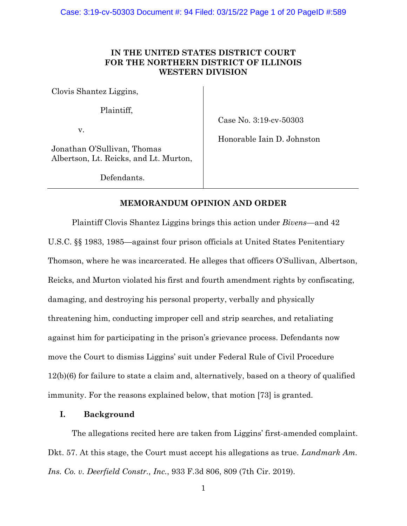# **IN THE UNITED STATES DISTRICT COURT FOR THE NORTHERN DISTRICT OF ILLINOIS WESTERN DIVISION**

Clovis Shantez Liggins,

Plaintiff,

v.

Case No. 3:19-cv-50303

Honorable Iain D. Johnston

Jonathan O'Sullivan, Thomas Albertson, Lt. Reicks, and Lt. Murton,

Defendants.

# **MEMORANDUM OPINION AND ORDER**

Plaintiff Clovis Shantez Liggins brings this action under *Bivens*—and 42 U.S.C. §§ 1983, 1985—against four prison officials at United States Penitentiary Thomson, where he was incarcerated. He alleges that officers O'Sullivan, Albertson, Reicks, and Murton violated his first and fourth amendment rights by confiscating, damaging, and destroying his personal property, verbally and physically threatening him, conducting improper cell and strip searches, and retaliating against him for participating in the prison's grievance process. Defendants now move the Court to dismiss Liggins' suit under Federal Rule of Civil Procedure 12(b)(6) for failure to state a claim and, alternatively, based on a theory of qualified immunity. For the reasons explained below, that motion [73] is granted.

## **I. Background**

The allegations recited here are taken from Liggins' first-amended complaint. Dkt. 57. At this stage, the Court must accept his allegations as true. *Landmark Am. Ins. Co. v. Deerfield Constr., Inc.*, 933 F.3d 806, 809 (7th Cir. 2019).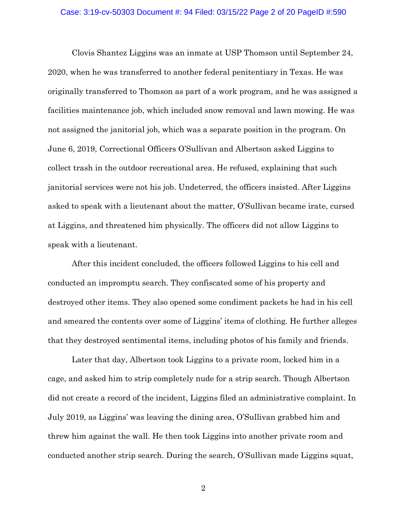#### Case: 3:19-cv-50303 Document #: 94 Filed: 03/15/22 Page 2 of 20 PageID #:590

Clovis Shantez Liggins was an inmate at USP Thomson until September 24, 2020, when he was transferred to another federal penitentiary in Texas. He was originally transferred to Thomson as part of a work program, and he was assigned a facilities maintenance job, which included snow removal and lawn mowing. He was not assigned the janitorial job, which was a separate position in the program. On June 6, 2019, Correctional Officers O'Sullivan and Albertson asked Liggins to collect trash in the outdoor recreational area. He refused, explaining that such janitorial services were not his job. Undeterred, the officers insisted. After Liggins asked to speak with a lieutenant about the matter, O'Sullivan became irate, cursed at Liggins, and threatened him physically. The officers did not allow Liggins to speak with a lieutenant.

After this incident concluded, the officers followed Liggins to his cell and conducted an impromptu search. They confiscated some of his property and destroyed other items. They also opened some condiment packets he had in his cell and smeared the contents over some of Liggins' items of clothing. He further alleges that they destroyed sentimental items, including photos of his family and friends.

Later that day, Albertson took Liggins to a private room, locked him in a cage, and asked him to strip completely nude for a strip search. Though Albertson did not create a record of the incident, Liggins filed an administrative complaint. In July 2019, as Liggins' was leaving the dining area, O'Sullivan grabbed him and threw him against the wall. He then took Liggins into another private room and conducted another strip search. During the search, O'Sullivan made Liggins squat,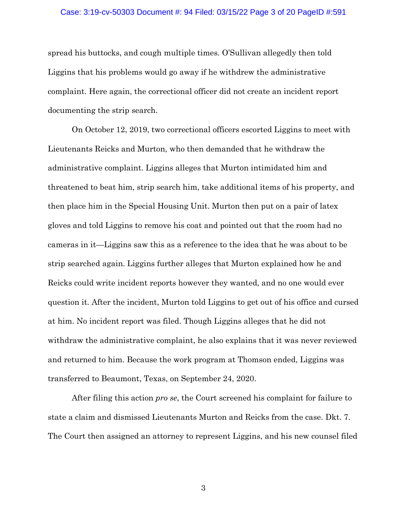#### Case: 3:19-cv-50303 Document #: 94 Filed: 03/15/22 Page 3 of 20 PageID #:591

spread his buttocks, and cough multiple times. O'Sullivan allegedly then told Liggins that his problems would go away if he withdrew the administrative complaint. Here again, the correctional officer did not create an incident report documenting the strip search.

On October 12, 2019, two correctional officers escorted Liggins to meet with Lieutenants Reicks and Murton, who then demanded that he withdraw the administrative complaint. Liggins alleges that Murton intimidated him and threatened to beat him, strip search him, take additional items of his property, and then place him in the Special Housing Unit. Murton then put on a pair of latex gloves and told Liggins to remove his coat and pointed out that the room had no cameras in it—Liggins saw this as a reference to the idea that he was about to be strip searched again. Liggins further alleges that Murton explained how he and Reicks could write incident reports however they wanted, and no one would ever question it. After the incident, Murton told Liggins to get out of his office and cursed at him. No incident report was filed. Though Liggins alleges that he did not withdraw the administrative complaint, he also explains that it was never reviewed and returned to him. Because the work program at Thomson ended, Liggins was transferred to Beaumont, Texas, on September 24, 2020.

After filing this action *pro se*, the Court screened his complaint for failure to state a claim and dismissed Lieutenants Murton and Reicks from the case. Dkt. 7. The Court then assigned an attorney to represent Liggins, and his new counsel filed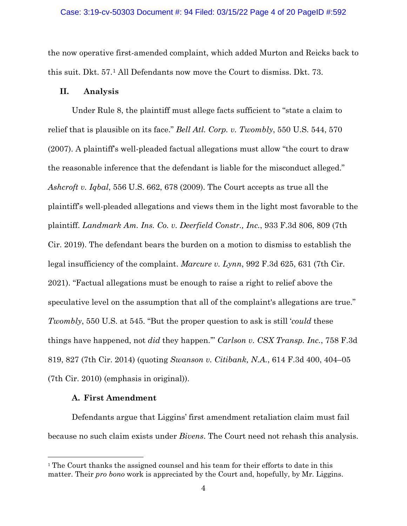#### Case: 3:19-cv-50303 Document #: 94 Filed: 03/15/22 Page 4 of 20 PageID #:592

the now operative first-amended complaint, which added Murton and Reicks back to this suit. Dkt. 57.1 All Defendants now move the Court to dismiss. Dkt. 73.

## **II. Analysis**

Under Rule 8, the plaintiff must allege facts sufficient to "state a claim to relief that is plausible on its face." *Bell Atl. Corp. v. Twombly*, 550 U.S. 544, 570 (2007). A plaintiff's well-pleaded factual allegations must allow "the court to draw the reasonable inference that the defendant is liable for the misconduct alleged." *Ashcroft v. Iqbal*, 556 U.S. 662, 678 (2009). The Court accepts as true all the plaintiff's well-pleaded allegations and views them in the light most favorable to the plaintiff. *Landmark Am. Ins. Co. v. Deerfield Constr., Inc.*, 933 F.3d 806, 809 (7th Cir. 2019). The defendant bears the burden on a motion to dismiss to establish the legal insufficiency of the complaint. *Marcure v. Lynn*, 992 F.3d 625, 631 (7th Cir. 2021). "Factual allegations must be enough to raise a right to relief above the speculative level on the assumption that all of the complaint's allegations are true." *Twombly*, 550 U.S. at 545. "But the proper question to ask is still '*could* these things have happened, not *did* they happen.'" *Carlson v. CSX Transp. Inc.*, 758 F.3d 819, 827 (7th Cir. 2014) (quoting *Swanson v. Citibank, N.A.*, 614 F.3d 400, 404–05 (7th Cir. 2010) (emphasis in original)).

## **A. First Amendment**

Defendants argue that Liggins' first amendment retaliation claim must fail because no such claim exists under *Bivens*. The Court need not rehash this analysis.

<sup>&</sup>lt;sup>1</sup> The Court thanks the assigned counsel and his team for their efforts to date in this matter. Their *pro bono* work is appreciated by the Court and, hopefully, by Mr. Liggins.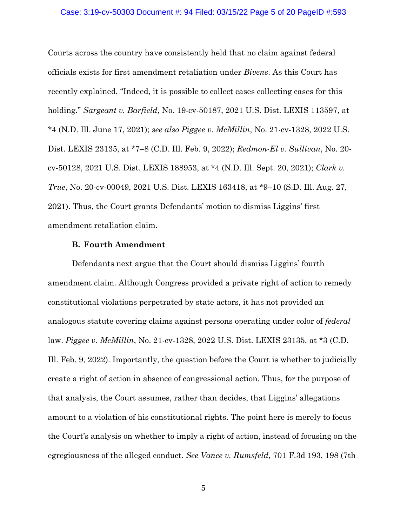## Case: 3:19-cv-50303 Document #: 94 Filed: 03/15/22 Page 5 of 20 PageID #:593

Courts across the country have consistently held that no claim against federal officials exists for first amendment retaliation under *Bivens*. As this Court has recently explained, "Indeed, it is possible to collect cases collecting cases for this holding." *Sargeant v. Barfield*, No. 19-cv-50187, 2021 U.S. Dist. LEXIS 113597, at \*4 (N.D. Ill. June 17, 2021); *see also Piggee v. McMillin*, No. 21-cv-1328, 2022 U.S. Dist. LEXIS 23135, at \*7–8 (C.D. Ill. Feb. 9, 2022); *Redmon-El v. Sullivan*, No. 20 cv-50128, 2021 U.S. Dist. LEXIS 188953, at \*4 (N.D. Ill. Sept. 20, 2021); *Clark v. True*, No. 20-cv-00049, 2021 U.S. Dist. LEXIS 163418, at \*9–10 (S.D. Ill. Aug. 27, 2021). Thus, the Court grants Defendants' motion to dismiss Liggins' first amendment retaliation claim.

## **B. Fourth Amendment**

Defendants next argue that the Court should dismiss Liggins' fourth amendment claim. Although Congress provided a private right of action to remedy constitutional violations perpetrated by state actors, it has not provided an analogous statute covering claims against persons operating under color of *federal* law. *Piggee v. McMillin*, No. 21-cv-1328, 2022 U.S. Dist. LEXIS 23135, at \*3 (C.D. Ill. Feb. 9, 2022). Importantly, the question before the Court is whether to judicially create a right of action in absence of congressional action. Thus, for the purpose of that analysis, the Court assumes, rather than decides, that Liggins' allegations amount to a violation of his constitutional rights. The point here is merely to focus the Court's analysis on whether to imply a right of action, instead of focusing on the egregiousness of the alleged conduct. *See Vance v. Rumsfeld*, 701 F.3d 193, 198 (7th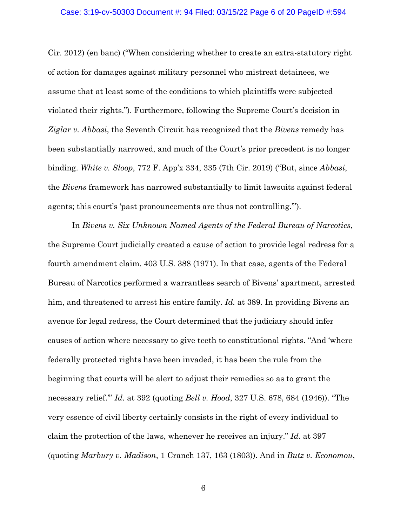#### Case: 3:19-cv-50303 Document #: 94 Filed: 03/15/22 Page 6 of 20 PageID #:594

Cir. 2012) (en banc) ("When considering whether to create an extra-statutory right of action for damages against military personnel who mistreat detainees, we assume that at least some of the conditions to which plaintiffs were subjected violated their rights."). Furthermore, following the Supreme Court's decision in *Ziglar v. Abbasi*, the Seventh Circuit has recognized that the *Bivens* remedy has been substantially narrowed, and much of the Court's prior precedent is no longer binding. *White v. Sloop*, 772 F. App'x 334, 335 (7th Cir. 2019) ("But, since *Abbasi*, the *Bivens* framework has narrowed substantially to limit lawsuits against federal agents; this court's 'past pronouncements are thus not controlling.'").

In *Bivens v. Six Unknown Named Agents of the Federal Bureau of Narcotics*, the Supreme Court judicially created a cause of action to provide legal redress for a fourth amendment claim. 403 U.S. 388 (1971). In that case, agents of the Federal Bureau of Narcotics performed a warrantless search of Bivens' apartment, arrested him, and threatened to arrest his entire family. *Id.* at 389. In providing Bivens an avenue for legal redress, the Court determined that the judiciary should infer causes of action where necessary to give teeth to constitutional rights. "And 'where federally protected rights have been invaded, it has been the rule from the beginning that courts will be alert to adjust their remedies so as to grant the necessary relief.'" *Id.* at 392 (quoting *Bell v. Hood*, 327 U.S. 678, 684 (1946)). "The very essence of civil liberty certainly consists in the right of every individual to claim the protection of the laws, whenever he receives an injury." *Id.* at 397 (quoting *Marbury v. Madison*, 1 Cranch 137, 163 (1803)). And in *Butz v. Economou*,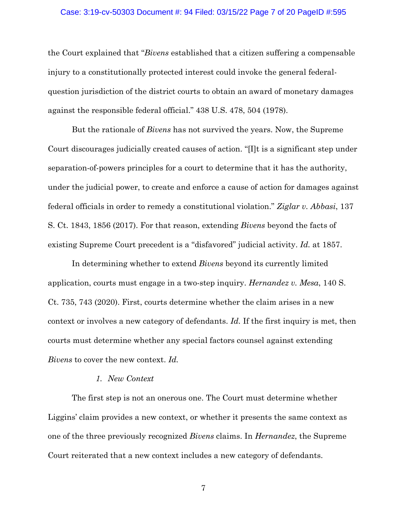### Case: 3:19-cv-50303 Document #: 94 Filed: 03/15/22 Page 7 of 20 PageID #:595

the Court explained that "*Bivens* established that a citizen suffering a compensable injury to a constitutionally protected interest could invoke the general federalquestion jurisdiction of the district courts to obtain an award of monetary damages against the responsible federal official." 438 U.S. 478, 504 (1978).

But the rationale of *Bivens* has not survived the years. Now, the Supreme Court discourages judicially created causes of action. "[I]t is a significant step under separation-of-powers principles for a court to determine that it has the authority, under the judicial power, to create and enforce a cause of action for damages against federal officials in order to remedy a constitutional violation." *Ziglar v. Abbasi*, 137 S. Ct. 1843, 1856 (2017). For that reason, extending *Bivens* beyond the facts of existing Supreme Court precedent is a "disfavored" judicial activity. *Id.* at 1857.

In determining whether to extend *Bivens* beyond its currently limited application, courts must engage in a two-step inquiry. *Hernandez v. Mesa*, 140 S. Ct. 735, 743 (2020). First, courts determine whether the claim arises in a new context or involves a new category of defendants. *Id.* If the first inquiry is met, then courts must determine whether any special factors counsel against extending *Bivens* to cover the new context. *Id.* 

## *1. New Context*

The first step is not an onerous one. The Court must determine whether Liggins' claim provides a new context, or whether it presents the same context as one of the three previously recognized *Bivens* claims. In *Hernandez*, the Supreme Court reiterated that a new context includes a new category of defendants.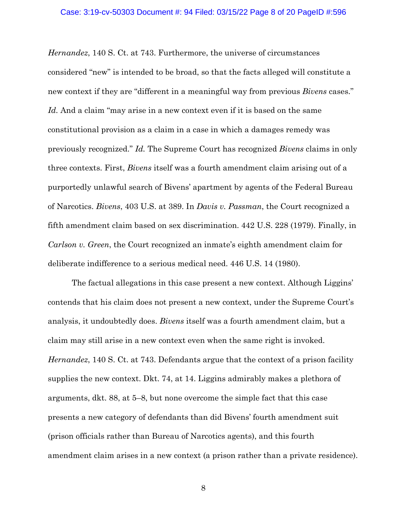*Hernandez*, 140 S. Ct. at 743. Furthermore, the universe of circumstances considered "new" is intended to be broad, so that the facts alleged will constitute a new context if they are "different in a meaningful way from previous *Bivens* cases." *Id.* And a claim "may arise in a new context even if it is based on the same constitutional provision as a claim in a case in which a damages remedy was previously recognized." *Id.* The Supreme Court has recognized *Bivens* claims in only three contexts. First, *Bivens* itself was a fourth amendment claim arising out of a purportedly unlawful search of Bivens' apartment by agents of the Federal Bureau of Narcotics. *Bivens*, 403 U.S. at 389. In *Davis v. Passman*, the Court recognized a fifth amendment claim based on sex discrimination. 442 U.S. 228 (1979). Finally, in *Carlson v. Green*, the Court recognized an inmate's eighth amendment claim for deliberate indifference to a serious medical need. 446 U.S. 14 (1980).

The factual allegations in this case present a new context. Although Liggins' contends that his claim does not present a new context, under the Supreme Court's analysis, it undoubtedly does. *Bivens* itself was a fourth amendment claim, but a claim may still arise in a new context even when the same right is invoked. *Hernandez*, 140 S. Ct. at 743. Defendants argue that the context of a prison facility supplies the new context. Dkt. 74, at 14. Liggins admirably makes a plethora of arguments, dkt. 88, at 5–8, but none overcome the simple fact that this case presents a new category of defendants than did Bivens' fourth amendment suit (prison officials rather than Bureau of Narcotics agents), and this fourth amendment claim arises in a new context (a prison rather than a private residence).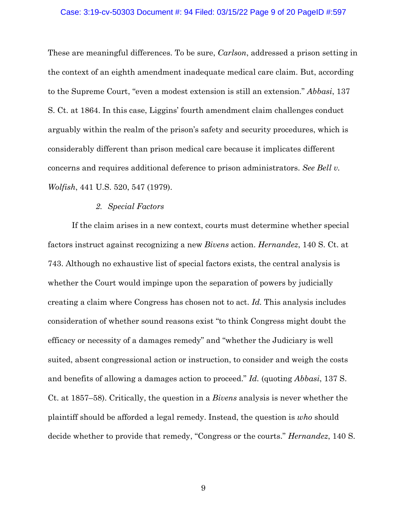#### Case: 3:19-cv-50303 Document #: 94 Filed: 03/15/22 Page 9 of 20 PageID #:597

These are meaningful differences. To be sure, *Carlson*, addressed a prison setting in the context of an eighth amendment inadequate medical care claim. But, according to the Supreme Court, "even a modest extension is still an extension." *Abbasi*, 137 S. Ct. at 1864. In this case, Liggins' fourth amendment claim challenges conduct arguably within the realm of the prison's safety and security procedures, which is considerably different than prison medical care because it implicates different concerns and requires additional deference to prison administrators. *See Bell v. Wolfish*, 441 U.S. 520, 547 (1979).

## *2. Special Factors*

If the claim arises in a new context, courts must determine whether special factors instruct against recognizing a new *Bivens* action. *Hernandez*, 140 S. Ct. at 743. Although no exhaustive list of special factors exists, the central analysis is whether the Court would impinge upon the separation of powers by judicially creating a claim where Congress has chosen not to act. *Id.* This analysis includes consideration of whether sound reasons exist "to think Congress might doubt the efficacy or necessity of a damages remedy" and "whether the Judiciary is well suited, absent congressional action or instruction, to consider and weigh the costs and benefits of allowing a damages action to proceed." *Id.* (quoting *Abbasi*, 137 S. Ct. at 1857–58). Critically, the question in a *Bivens* analysis is never whether the plaintiff should be afforded a legal remedy. Instead, the question is *who* should decide whether to provide that remedy, "Congress or the courts." *Hernandez*, 140 S.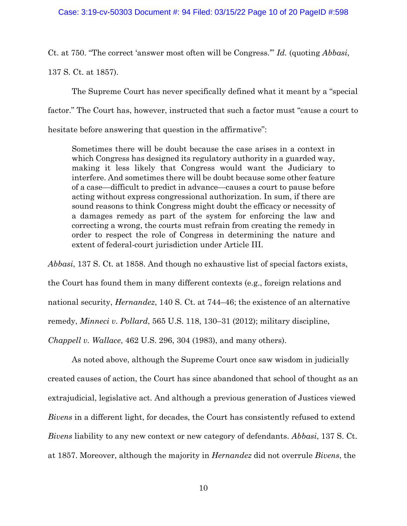Ct. at 750. "The correct 'answer most often will be Congress.'" *Id.* (quoting *Abbasi*,

137 S. Ct. at 1857).

The Supreme Court has never specifically defined what it meant by a "special factor." The Court has, however, instructed that such a factor must "cause a court to hesitate before answering that question in the affirmative":

Sometimes there will be doubt because the case arises in a context in which Congress has designed its regulatory authority in a guarded way, making it less likely that Congress would want the Judiciary to interfere. And sometimes there will be doubt because some other feature of a case—difficult to predict in advance—causes a court to pause before acting without express congressional authorization. In sum, if there are sound reasons to think Congress might doubt the efficacy or necessity of a damages remedy as part of the system for enforcing the law and correcting a wrong, the courts must refrain from creating the remedy in order to respect the role of Congress in determining the nature and extent of federal-court jurisdiction under Article III.

*Abbasi*, 137 S. Ct. at 1858. And though no exhaustive list of special factors exists,

the Court has found them in many different contexts (e.g., foreign relations and

national security, *Hernandez*, 140 S. Ct. at 744–46; the existence of an alternative

remedy, *Minneci v. Pollard*, 565 U.S. 118, 130–31 (2012); military discipline,

*Chappell v. Wallace*, 462 U.S. 296, 304 (1983), and many others).

As noted above, although the Supreme Court once saw wisdom in judicially created causes of action, the Court has since abandoned that school of thought as an extrajudicial, legislative act. And although a previous generation of Justices viewed *Bivens* in a different light, for decades, the Court has consistently refused to extend *Bivens* liability to any new context or new category of defendants. *Abbasi*, 137 S. Ct. at 1857. Moreover, although the majority in *Hernandez* did not overrule *Bivens*, the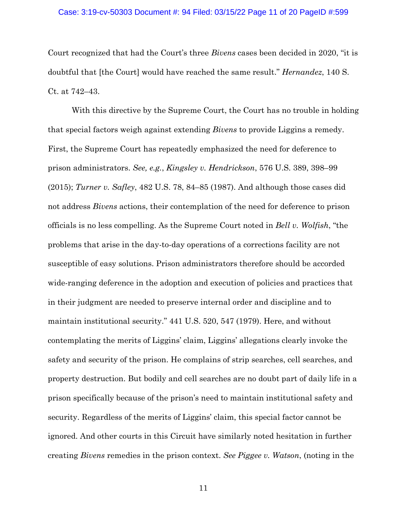#### Case: 3:19-cv-50303 Document #: 94 Filed: 03/15/22 Page 11 of 20 PageID #:599

Court recognized that had the Court's three *Bivens* cases been decided in 2020, "it is doubtful that [the Court] would have reached the same result." *Hernandez*, 140 S. Ct. at 742–43.

With this directive by the Supreme Court, the Court has no trouble in holding that special factors weigh against extending *Bivens* to provide Liggins a remedy. First, the Supreme Court has repeatedly emphasized the need for deference to prison administrators. *See, e.g.*, *Kingsley v. Hendrickson*, 576 U.S. 389, 398–99 (2015); *Turner v. Safley*, 482 U.S. 78, 84–85 (1987). And although those cases did not address *Bivens* actions, their contemplation of the need for deference to prison officials is no less compelling. As the Supreme Court noted in *Bell v. Wolfish*, "the problems that arise in the day-to-day operations of a corrections facility are not susceptible of easy solutions. Prison administrators therefore should be accorded wide-ranging deference in the adoption and execution of policies and practices that in their judgment are needed to preserve internal order and discipline and to maintain institutional security." 441 U.S. 520, 547 (1979). Here, and without contemplating the merits of Liggins' claim, Liggins' allegations clearly invoke the safety and security of the prison. He complains of strip searches, cell searches, and property destruction. But bodily and cell searches are no doubt part of daily life in a prison specifically because of the prison's need to maintain institutional safety and security. Regardless of the merits of Liggins' claim, this special factor cannot be ignored. And other courts in this Circuit have similarly noted hesitation in further creating *Bivens* remedies in the prison context. *See Piggee v. Watson*, (noting in the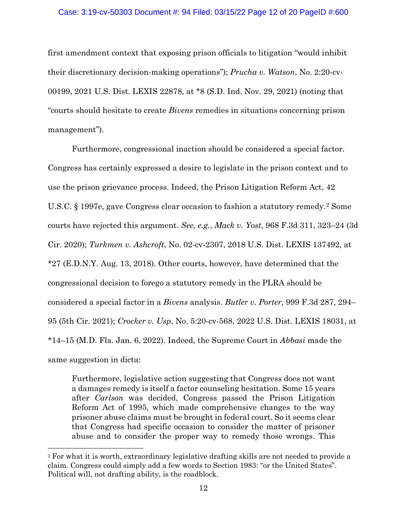## Case: 3:19-cv-50303 Document #: 94 Filed: 03/15/22 Page 12 of 20 PageID #:600

first amendment context that exposing prison officials to litigation "would inhibit their discretionary decision-making operations"); *Prucha v. Watson*, No. 2:20-cv-00199, 2021 U.S. Dist. LEXIS 22878, at \*8 (S.D. Ind. Nov. 29, 2021) (noting that "courts should hesitate to create *Bivens* remedies in situations concerning prison management").

Furthermore, congressional inaction should be considered a special factor. Congress has certainly expressed a desire to legislate in the prison context and to use the prison grievance process. Indeed, the Prison Litigation Reform Act, 42 U.S.C. § 1997e, gave Congress clear occasion to fashion a statutory remedy.2 Some courts have rejected this argument. *See, e.g.*, *Mack v. Yost*, 968 F.3d 311, 323–24 (3d Cir. 2020); *Turkmen v. Ashcroft*, No. 02-cv-2307, 2018 U.S. Dist. LEXIS 137492, at \*27 (E.D.N.Y. Aug. 13, 2018). Other courts, however, have determined that the congressional decision to forego a statutory remedy in the PLRA should be considered a special factor in a *Bivens* analysis. *Butler v. Porter*, 999 F.3d 287, 294– 95 (5th Cir. 2021); *Crocker v. Usp*, No. 5:20-cv-568, 2022 U.S. Dist. LEXIS 18031, at \*14–15 (M.D. Fla. Jan. 6, 2022). Indeed, the Supreme Court in *Abbasi* made the same suggestion in dicta:

Furthermore, legislative action suggesting that Congress does not want a damages remedy is itself a factor counseling hesitation. Some 15 years after *Carlson* was decided, Congress passed the Prison Litigation Reform Act of 1995, which made comprehensive changes to the way prisoner abuse claims must be brought in federal court. So it seems clear that Congress had specific occasion to consider the matter of prisoner abuse and to consider the proper way to remedy those wrongs. This

<sup>2</sup> For what it is worth, extraordinary legislative drafting skills are not needed to provide a claim. Congress could simply add a few words to Section 1983: "or the United States". Political will, not drafting ability, is the roadblock.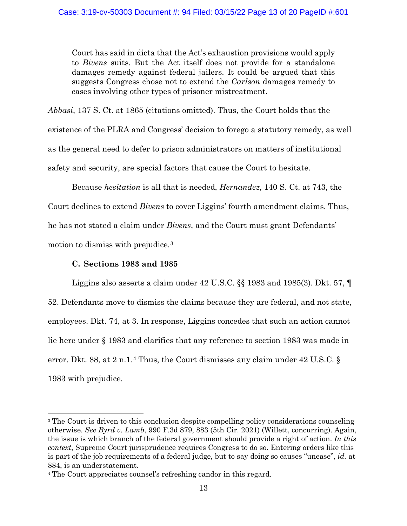Court has said in dicta that the Act's exhaustion provisions would apply to *Bivens* suits. But the Act itself does not provide for a standalone damages remedy against federal jailers. It could be argued that this suggests Congress chose not to extend the *Carlson* damages remedy to cases involving other types of prisoner mistreatment.

*Abbasi*, 137 S. Ct. at 1865 (citations omitted). Thus, the Court holds that the existence of the PLRA and Congress' decision to forego a statutory remedy, as well as the general need to defer to prison administrators on matters of institutional safety and security, are special factors that cause the Court to hesitate.

Because *hesitation* is all that is needed, *Hernandez*, 140 S. Ct. at 743, the Court declines to extend *Bivens* to cover Liggins' fourth amendment claims. Thus, he has not stated a claim under *Bivens*, and the Court must grant Defendants' motion to dismiss with prejudice.3

# **C. Sections 1983 and 1985**

Liggins also asserts a claim under 42 U.S.C. §§ 1983 and 1985(3). Dkt. 57, ¶ 52. Defendants move to dismiss the claims because they are federal, and not state, employees. Dkt. 74, at 3. In response, Liggins concedes that such an action cannot lie here under § 1983 and clarifies that any reference to section 1983 was made in error. Dkt. 88, at 2 n.1.4 Thus, the Court dismisses any claim under 42 U.S.C. § 1983 with prejudice.

<sup>&</sup>lt;sup>3</sup> The Court is driven to this conclusion despite compelling policy considerations counseling otherwise. *See Byrd v. Lamb*, 990 F.3d 879, 883 (5th Cir. 2021) (Willett, concurring). Again, the issue is which branch of the federal government should provide a right of action. *In this context*, Supreme Court jurisprudence requires Congress to do so. Entering orders like this is part of the job requirements of a federal judge, but to say doing so causes "unease", *id.* at 884, is an understatement.

<sup>4</sup> The Court appreciates counsel's refreshing candor in this regard.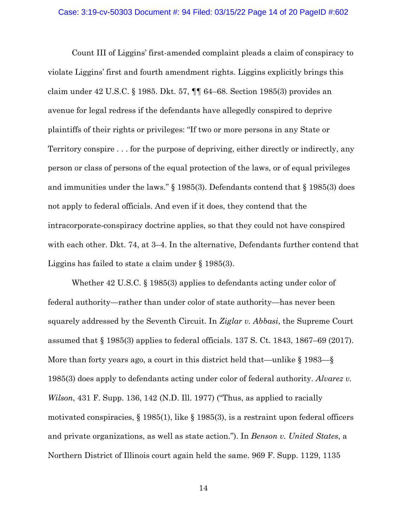#### Case: 3:19-cv-50303 Document #: 94 Filed: 03/15/22 Page 14 of 20 PageID #:602

Count III of Liggins' first-amended complaint pleads a claim of conspiracy to violate Liggins' first and fourth amendment rights. Liggins explicitly brings this claim under 42 U.S.C. § 1985. Dkt. 57, ¶¶ 64–68. Section 1985(3) provides an avenue for legal redress if the defendants have allegedly conspired to deprive plaintiffs of their rights or privileges: "If two or more persons in any State or Territory conspire . . . for the purpose of depriving, either directly or indirectly, any person or class of persons of the equal protection of the laws, or of equal privileges and immunities under the laws." § 1985(3). Defendants contend that § 1985(3) does not apply to federal officials. And even if it does, they contend that the intracorporate-conspiracy doctrine applies, so that they could not have conspired with each other. Dkt. 74, at 3–4. In the alternative, Defendants further contend that Liggins has failed to state a claim under § 1985(3).

Whether 42 U.S.C. § 1985(3) applies to defendants acting under color of federal authority—rather than under color of state authority—has never been squarely addressed by the Seventh Circuit. In *Ziglar v. Abbasi*, the Supreme Court assumed that § 1985(3) applies to federal officials. 137 S. Ct. 1843, 1867–69 (2017). More than forty years ago, a court in this district held that—unlike § 1983—§ 1985(3) does apply to defendants acting under color of federal authority. *Alvarez v. Wilson*, 431 F. Supp. 136, 142 (N.D. Ill. 1977) ("Thus, as applied to racially motivated conspiracies,  $\S 1985(1)$ , like  $\S 1985(3)$ , is a restraint upon federal officers and private organizations, as well as state action."). In *Benson v. United States*, a Northern District of Illinois court again held the same. 969 F. Supp. 1129, 1135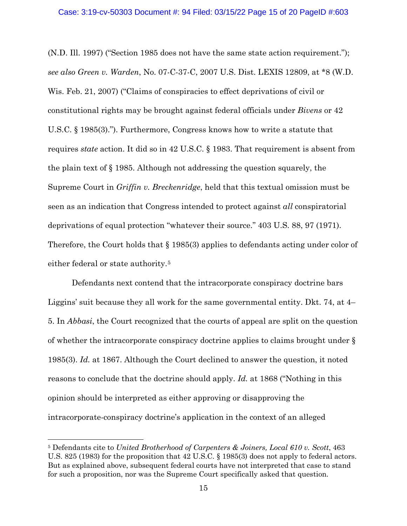(N.D. Ill. 1997) ("Section 1985 does not have the same state action requirement."); *see also Green v. Warden*, No. 07-C-37-C, 2007 U.S. Dist. LEXIS 12809, at \*8 (W.D. Wis. Feb. 21, 2007) ("Claims of conspiracies to effect deprivations of civil or constitutional rights may be brought against federal officials under *Bivens* or 42 U.S.C. § 1985(3)."). Furthermore, Congress knows how to write a statute that requires *state* action. It did so in 42 U.S.C. § 1983. That requirement is absent from the plain text of § 1985. Although not addressing the question squarely, the Supreme Court in *Griffin v. Breckenridge*, held that this textual omission must be seen as an indication that Congress intended to protect against *all* conspiratorial deprivations of equal protection "whatever their source." 403 U.S. 88, 97 (1971). Therefore, the Court holds that § 1985(3) applies to defendants acting under color of either federal or state authority.5

Defendants next contend that the intracorporate conspiracy doctrine bars Liggins' suit because they all work for the same governmental entity. Dkt. 74, at 4– 5. In *Abbasi*, the Court recognized that the courts of appeal are split on the question of whether the intracorporate conspiracy doctrine applies to claims brought under § 1985(3). *Id.* at 1867. Although the Court declined to answer the question, it noted reasons to conclude that the doctrine should apply. *Id.* at 1868 ("Nothing in this opinion should be interpreted as either approving or disapproving the intracorporate-conspiracy doctrine's application in the context of an alleged

<sup>5</sup> Defendants cite to *United Brotherhood of Carpenters & Joiners, Local 610 v. Scott*, 463 U.S. 825 (1983) for the proposition that 42 U.S.C. § 1985(3) does not apply to federal actors. But as explained above, subsequent federal courts have not interpreted that case to stand for such a proposition, nor was the Supreme Court specifically asked that question.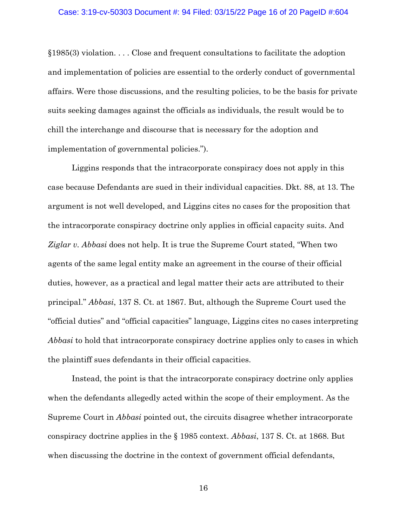#### Case: 3:19-cv-50303 Document #: 94 Filed: 03/15/22 Page 16 of 20 PageID #:604

§1985(3) violation. . . . Close and frequent consultations to facilitate the adoption and implementation of policies are essential to the orderly conduct of governmental affairs. Were those discussions, and the resulting policies, to be the basis for private suits seeking damages against the officials as individuals, the result would be to chill the interchange and discourse that is necessary for the adoption and implementation of governmental policies.").

Liggins responds that the intracorporate conspiracy does not apply in this case because Defendants are sued in their individual capacities. Dkt. 88, at 13. The argument is not well developed, and Liggins cites no cases for the proposition that the intracorporate conspiracy doctrine only applies in official capacity suits. And *Ziglar v. Abbasi* does not help. It is true the Supreme Court stated, "When two agents of the same legal entity make an agreement in the course of their official duties, however, as a practical and legal matter their acts are attributed to their principal." *Abbasi*, 137 S. Ct. at 1867. But, although the Supreme Court used the "official duties" and "official capacities" language, Liggins cites no cases interpreting *Abbasi* to hold that intracorporate conspiracy doctrine applies only to cases in which the plaintiff sues defendants in their official capacities.

Instead, the point is that the intracorporate conspiracy doctrine only applies when the defendants allegedly acted within the scope of their employment. As the Supreme Court in *Abbasi* pointed out, the circuits disagree whether intracorporate conspiracy doctrine applies in the § 1985 context. *Abbasi*, 137 S. Ct. at 1868. But when discussing the doctrine in the context of government official defendants,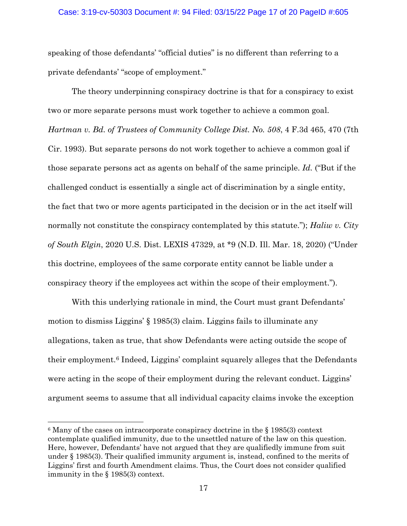### Case: 3:19-cv-50303 Document #: 94 Filed: 03/15/22 Page 17 of 20 PageID #:605

speaking of those defendants' "official duties" is no different than referring to a private defendants' "scope of employment."

The theory underpinning conspiracy doctrine is that for a conspiracy to exist two or more separate persons must work together to achieve a common goal. *Hartman v. Bd. of Trustees of Community College Dist. No. 508*, 4 F.3d 465, 470 (7th Cir. 1993). But separate persons do not work together to achieve a common goal if those separate persons act as agents on behalf of the same principle. *Id.* ("But if the challenged conduct is essentially a single act of discrimination by a single entity, the fact that two or more agents participated in the decision or in the act itself will normally not constitute the conspiracy contemplated by this statute."); *Haliw v. City of South Elgin*, 2020 U.S. Dist. LEXIS 47329, at \*9 (N.D. Ill. Mar. 18, 2020) ("Under this doctrine, employees of the same corporate entity cannot be liable under a conspiracy theory if the employees act within the scope of their employment.").

With this underlying rationale in mind, the Court must grant Defendants' motion to dismiss Liggins' § 1985(3) claim. Liggins fails to illuminate any allegations, taken as true, that show Defendants were acting outside the scope of their employment.6 Indeed, Liggins' complaint squarely alleges that the Defendants were acting in the scope of their employment during the relevant conduct. Liggins' argument seems to assume that all individual capacity claims invoke the exception

 $6$  Many of the cases on intracorporate conspiracy doctrine in the  $\S$  1985(3) context contemplate qualified immunity, due to the unsettled nature of the law on this question. Here, however, Defendants' have not argued that they are qualifiedly immune from suit under § 1985(3). Their qualified immunity argument is, instead, confined to the merits of Liggins' first and fourth Amendment claims. Thus, the Court does not consider qualified immunity in the § 1985(3) context.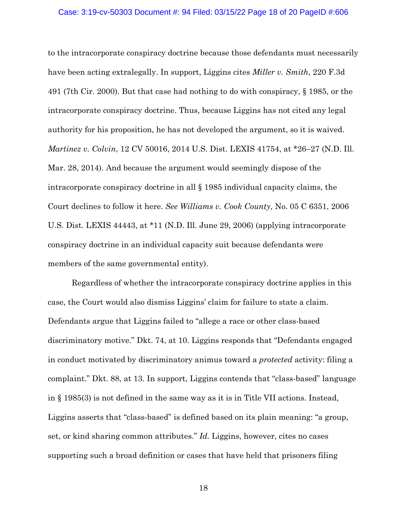### Case: 3:19-cv-50303 Document #: 94 Filed: 03/15/22 Page 18 of 20 PageID #:606

to the intracorporate conspiracy doctrine because those defendants must necessarily have been acting extralegally. In support, Liggins cites *Miller v. Smith*, 220 F.3d 491 (7th Cir. 2000). But that case had nothing to do with conspiracy, § 1985, or the intracorporate conspiracy doctrine. Thus, because Liggins has not cited any legal authority for his proposition, he has not developed the argument, so it is waived. *Martinez v. Colvin*, 12 CV 50016, 2014 U.S. Dist. LEXIS 41754, at \*26–27 (N.D. Ill. Mar. 28, 2014). And because the argument would seemingly dispose of the intracorporate conspiracy doctrine in all § 1985 individual capacity claims, the Court declines to follow it here. *See Williams v. Cook County*, No. 05 C 6351, 2006 U.S. Dist. LEXIS 44443, at \*11 (N.D. Ill. June 29, 2006) (applying intracorporate conspiracy doctrine in an individual capacity suit because defendants were members of the same governmental entity).

Regardless of whether the intracorporate conspiracy doctrine applies in this case, the Court would also dismiss Liggins' claim for failure to state a claim. Defendants argue that Liggins failed to "allege a race or other class-based discriminatory motive." Dkt. 74, at 10. Liggins responds that "Defendants engaged in conduct motivated by discriminatory animus toward a *protected* activity: filing a complaint." Dkt. 88, at 13. In support, Liggins contends that "class-based" language in § 1985(3) is not defined in the same way as it is in Title VII actions. Instead, Liggins asserts that "class-based" is defined based on its plain meaning: "a group, set, or kind sharing common attributes." *Id.* Liggins, however, cites no cases supporting such a broad definition or cases that have held that prisoners filing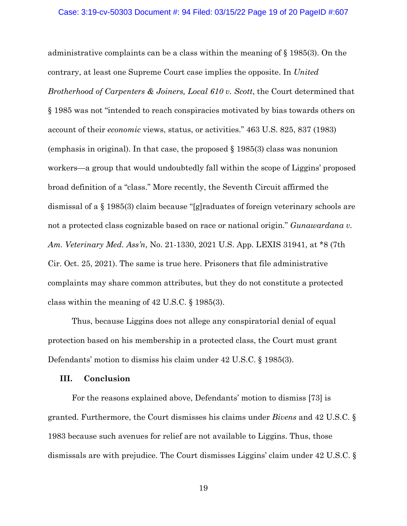#### Case: 3:19-cv-50303 Document #: 94 Filed: 03/15/22 Page 19 of 20 PageID #:607

administrative complaints can be a class within the meaning of § 1985(3). On the contrary, at least one Supreme Court case implies the opposite. In *United Brotherhood of Carpenters & Joiners, Local 610 v. Scott*, the Court determined that § 1985 was not "intended to reach conspiracies motivated by bias towards others on account of their *economic* views, status, or activities." 463 U.S. 825, 837 (1983) (emphasis in original). In that case, the proposed § 1985(3) class was nonunion workers—a group that would undoubtedly fall within the scope of Liggins' proposed broad definition of a "class." More recently, the Seventh Circuit affirmed the dismissal of a § 1985(3) claim because "[g]raduates of foreign veterinary schools are not a protected class cognizable based on race or national origin." *Gunawardana v. Am. Veterinary Med. Ass'n*, No. 21-1330, 2021 U.S. App. LEXIS 31941, at \*8 (7th Cir. Oct. 25, 2021). The same is true here. Prisoners that file administrative complaints may share common attributes, but they do not constitute a protected class within the meaning of 42 U.S.C. § 1985(3).

Thus, because Liggins does not allege any conspiratorial denial of equal protection based on his membership in a protected class, the Court must grant Defendants' motion to dismiss his claim under 42 U.S.C. § 1985(3).

## **III. Conclusion**

For the reasons explained above, Defendants' motion to dismiss [73] is granted. Furthermore, the Court dismisses his claims under *Bivens* and 42 U.S.C. § 1983 because such avenues for relief are not available to Liggins. Thus, those dismissals are with prejudice. The Court dismisses Liggins' claim under 42 U.S.C. §